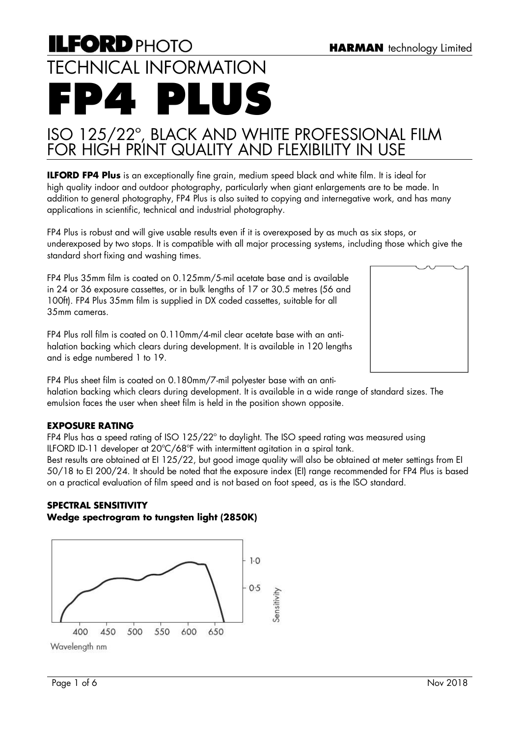# **ILFORD PHOTO** TECHNICAL INFORMATION **FP4 PLUS**

# ISO 125/22º, BLACK AND WHITE PROFESSIONAL FILM FOR HIGH PRINT QUALITY AND FLEXIBILITY IN USE

**ILFORD FP4 Plus** is an exceptionally fine grain, medium speed black and white film. It is ideal for high quality indoor and outdoor photography, particularly when giant enlargements are to be made. In addition to general photography, FP4 Plus is also suited to copying and internegative work, and has many applications in scientific, technical and industrial photography.

FP4 Plus is robust and will give usable results even if it is overexposed by as much as six stops, or underexposed by two stops. It is compatible with all major processing systems, including those which give the standard short fixing and washing times.

FP4 Plus 35mm film is coated on 0.125mm/5-mil acetate base and is available in 24 or 36 exposure cassettes, or in bulk lengths of 17 or 30.5 metres (56 and 100ft). FP4 Plus 35mm film is supplied in DX coded cassettes, suitable for all 35mm cameras.

FP4 Plus roll film is coated on 0.110mm/4-mil clear acetate base with an antihalation backing which clears during development. It is available in 120 lengths and is edge numbered 1 to 19.

FP4 Plus sheet film is coated on 0.180mm/7-mil polyester base with an antihalation backing which clears during development. It is available in a wide range of standard sizes. The emulsion faces the user when sheet film is held in the position shown opposite.

# **EXPOSURE RATING**

FP4 Plus has a speed rating of ISO 125/22º to daylight. The ISO speed rating was measured using ILFORD ID-11 developer at 20ºC/68ºF with intermittent agitation in a spiral tank.

Best results are obtained at EI 125/22, but good image quality will also be obtained at meter settings from EI 50/18 to EI 200/24. It should be noted that the exposure index (EI) range recommended for FP4 Plus is based on a practical evaluation of film speed and is not based on foot speed, as is the ISO standard.

# **SPECTRAL SENSITIVITY Wedge spectrogram to tungsten light (2850K)**



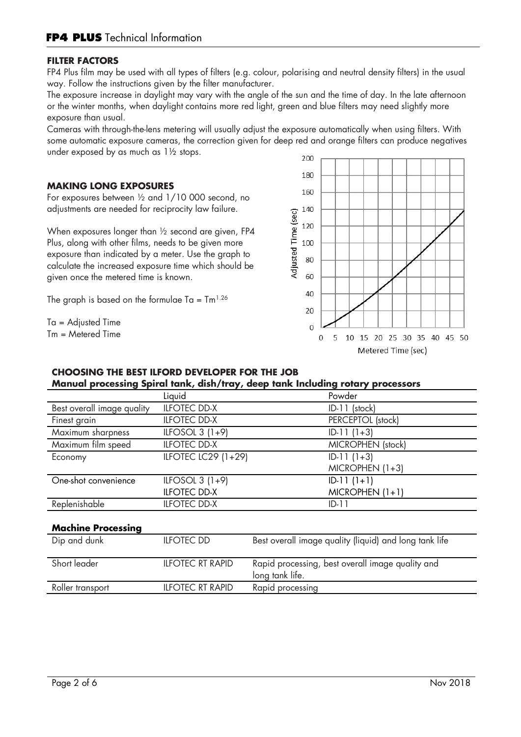#### **FILTER FACTORS**

FP4 Plus film may be used with all types of filters (e.g. colour, polarising and neutral density filters) in the usual way. Follow the instructions given by the filter manufacturer.

The exposure increase in daylight may vary with the angle of the sun and the time of day. In the late afternoon or the winter months, when daylight contains more red light, green and blue filters may need slightly more exposure than usual.

Cameras with through-the-lens metering will usually adjust the exposure automatically when using filters. With some automatic exposure cameras, the correction given for deep red and orange filters can produce negatives under exposed by as much as 1½ stops.

#### **MAKING LONG EXPOSURES**

For exposures between ½ and 1/10 000 second, no adjustments are needed for reciprocity law failure.

When exposures longer than ½ second are given, FP4 Plus, along with other films, needs to be given more exposure than indicated by a meter. Use the graph to calculate the increased exposure time which should be given once the metered time is known.

The graph is based on the formulae Ta =  $\text{Im}^{1.26}$ 

Ta = Adjusted Time Tm = Metered Time



# **CHOOSING THE BEST ILFORD DEVELOPER FOR THE JOB Manual processing Spiral tank, dish/tray, deep tank Including rotary processors**

|                            | Liquid                  | Powder                                                              |
|----------------------------|-------------------------|---------------------------------------------------------------------|
| Best overall image quality | <b>ILFOTEC DD-X</b>     | ID-11 (stock)                                                       |
| Finest grain               | <b>ILFOTEC DD-X</b>     | PERCEPTOL (stock)                                                   |
| Maximum sharpness          | ILFOSOL $3(1+9)$        | $ID-11(1+3)$                                                        |
| Maximum film speed         | <b>ILFOTEC DD-X</b>     | MICROPHEN (stock)                                                   |
| Economy                    | ILFOTEC LC29 (1+29)     | $ID-11(1+3)$                                                        |
|                            |                         | $MICROPHEN (1+3)$                                                   |
| One-shot convenience       | ILFOSOL $3(1+9)$        | $ID-11(1+1)$                                                        |
|                            | <b>ILFOTEC DD-X</b>     | $MICROPHEN (1+1)$                                                   |
| Replenishable              | <b>ILFOTEC DD-X</b>     | $ID-11$                                                             |
| <b>Machine Processing</b>  |                         |                                                                     |
| Dip and dunk               | <b>ILFOTEC DD</b>       | Best overall image quality (liquid) and long tank life              |
| Short leader               | <b>ILFOTEC RT RAPID</b> | Rapid processing, best overall image quality and<br>long tank life. |
| Roller transport           | <b>ILFOTEC RT RAPID</b> | Rapid processing                                                    |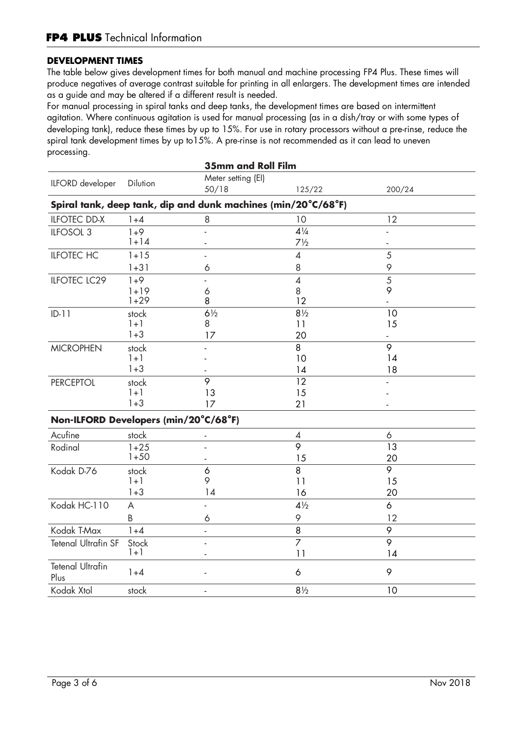# **DEVELOPMENT TIMES**

The table below gives development times for both manual and machine processing FP4 Plus. These times will produce negatives of average contrast suitable for printing in all enlargers. The development times are intended as a guide and may be altered if a different result is needed.

For manual processing in spiral tanks and deep tanks, the development times are based on intermittent agitation. Where continuous agitation is used for manual processing (as in a dish/tray or with some types of developing tank), reduce these times by up to 15%. For use in rotary processors without a pre-rinse, reduce the spiral tank development times by up to15%. A pre-rinse is not recommended as it can lead to uneven processing.

| <b>35mm and Roll Film</b>             |          |                    |                                                               |                  |  |
|---------------------------------------|----------|--------------------|---------------------------------------------------------------|------------------|--|
| ILFORD developer                      | Dilution | Meter setting (EI) |                                                               |                  |  |
|                                       |          | 50/18              | 125/22                                                        | 200/24           |  |
|                                       |          |                    | Spiral tank, deep tank, dip and dunk machines (min/20°C/68°F) |                  |  |
| <b>ILFOTEC DD-X</b>                   | $1 + 4$  | 8                  | 10                                                            | 12               |  |
| ILFOSOL <sub>3</sub>                  | $1 + 9$  |                    | $4\frac{1}{4}$                                                |                  |  |
|                                       | $1 + 14$ |                    | $7\frac{1}{2}$                                                |                  |  |
| <b>ILFOTEC HC</b>                     | $1 + 15$ |                    | $\overline{4}$                                                | 5                |  |
|                                       | $1 + 31$ | 6                  | 8                                                             | 9                |  |
| <b>ILFOTEC LC29</b>                   | $1 + 9$  |                    | $\overline{4}$                                                | 5                |  |
|                                       | $1 + 19$ | 6                  | 8                                                             | 9                |  |
|                                       | $1 + 29$ | 8                  | 12                                                            |                  |  |
| $ID-11$                               | stock    | $6\frac{1}{2}$     | $8\frac{1}{2}$                                                | 10               |  |
|                                       | $1 + 1$  | 8                  | 11                                                            | 15               |  |
|                                       | $1 + 3$  | 17                 | 20                                                            |                  |  |
| <b>MICROPHEN</b>                      | stock    |                    | 8                                                             | 9                |  |
|                                       | $1 + 1$  |                    | 10                                                            | 14               |  |
|                                       | $1 + 3$  |                    | 14                                                            | 18               |  |
| <b>PERCEPTOL</b>                      | stock    | $\overline{9}$     | $\overline{12}$                                               |                  |  |
|                                       | $1 + 1$  | 13                 | 15                                                            |                  |  |
|                                       | $1 + 3$  | 17                 | 21                                                            |                  |  |
| Non-ILFORD Developers (min/20°C/68°F) |          |                    |                                                               |                  |  |
| Acufine                               | stock    |                    | $\overline{\mathcal{A}}$                                      | $\acute{\rm{o}}$ |  |
| Rodinal                               | $1 + 25$ |                    | $\overline{\circ}$                                            | 13               |  |
|                                       | $1 + 50$ |                    | 15                                                            | 20               |  |
| Kodak D-76                            | stock    | 6                  | 8                                                             | $\overline{9}$   |  |
|                                       | $1 + 1$  | 9                  | 11                                                            | 15               |  |
|                                       | $1 + 3$  | 14                 | 16                                                            | 20               |  |
| Kodak HC-110                          | A        |                    | $4\frac{1}{2}$                                                | 6                |  |
|                                       | B        | 6                  | 9                                                             | 12               |  |
| Kodak T-Max                           | $1 + 4$  | ٠                  | 8                                                             | 9                |  |
| <b>Tetenal Ultrafin SF</b>            | Stock    |                    | $\overline{7}$                                                | 9                |  |
|                                       | $1 + 1$  |                    | 11                                                            | 14               |  |
| <b>Tetenal Ultrafin</b><br>Plus       | $1 + 4$  |                    | 6                                                             | 9                |  |
| Kodak Xtol                            | stock    |                    | $8\frac{1}{2}$                                                | 10               |  |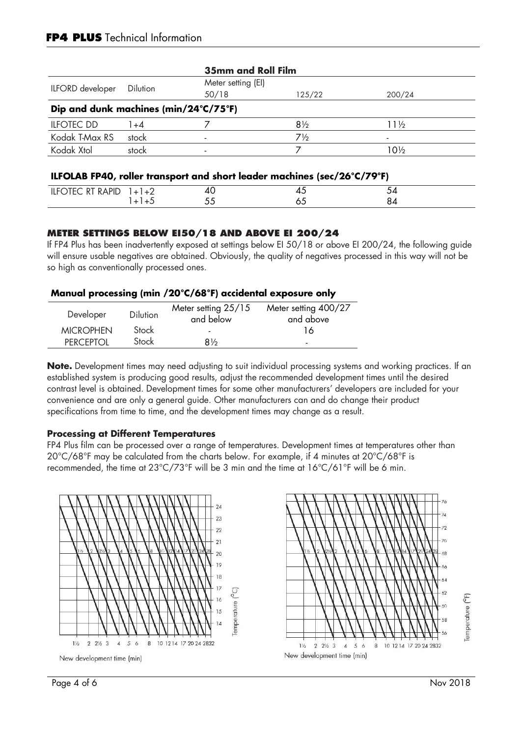# **FP4 PLUS** Technical Information

| <b>35mm and Roll Film</b>                                 |                 |                             |                |        |  |
|-----------------------------------------------------------|-----------------|-----------------------------|----------------|--------|--|
| ILFORD developer                                          | <b>Dilution</b> | Meter setting (EI)<br>50/18 | 125/22         | 200/24 |  |
| Dip and dunk machines (min/24 $\degree$ C/75 $\degree$ F) |                 |                             |                |        |  |
| <b>ILFOTEC DD</b>                                         | $+4$            |                             | $8\frac{1}{2}$ | l 1½   |  |
| Kodak T-Max RS                                            | stock           | $\overline{\phantom{0}}$    | $7\frac{1}{2}$ |        |  |
| Kodak Xtol                                                | stock           | $\overline{\phantom{0}}$    |                | 10½    |  |

#### **ILFOLAB FP40, roller transport and short leader machines (sec/26°C/79°F)**

| --<br>.<br>$\cdots$ |  |  |  |
|---------------------|--|--|--|
|                     |  |  |  |
|                     |  |  |  |

#### **METER SETTINGS BELOW EI50/18 AND ABOVE EI 200/24**

If FP4 Plus has been inadvertently exposed at settings below EI 50/18 or above EI 200/24, the following guide will ensure usable negatives are obtained. Obviously, the quality of negatives processed in this way will not be so high as conventionally processed ones.

#### **Manual processing (min /20°C/68°F) accidental exposure only**

| Developer        | Dilution | Meter setting 25/15<br>and below | Meter setting 400/27<br>and above |
|------------------|----------|----------------------------------|-----------------------------------|
| <b>MICROPHEN</b> | Stock    | -                                | ، ه                               |
| PERCEPTOL        | Stock    | $8\%$                            | $\blacksquare$                    |

**Note.** Development times may need adjusting to suit individual processing systems and working practices. If an established system is producing good results, adjust the recommended development times until the desired contrast level is obtained. Development times for some other manufacturers' developers are included for your convenience and are only a general guide. Other manufacturers can and do change their product specifications from time to time, and the development times may change as a result.

#### **Processing at Different Temperatures**

FP4 Plus film can be processed over a range of temperatures. Development times at temperatures other than 20°C/68°F may be calculated from the charts below. For example, if 4 minutes at 20°C/68°F is recommended, the time at 23°C/73°F will be 3 min and the time at 16°C/61°F will be 6 min.



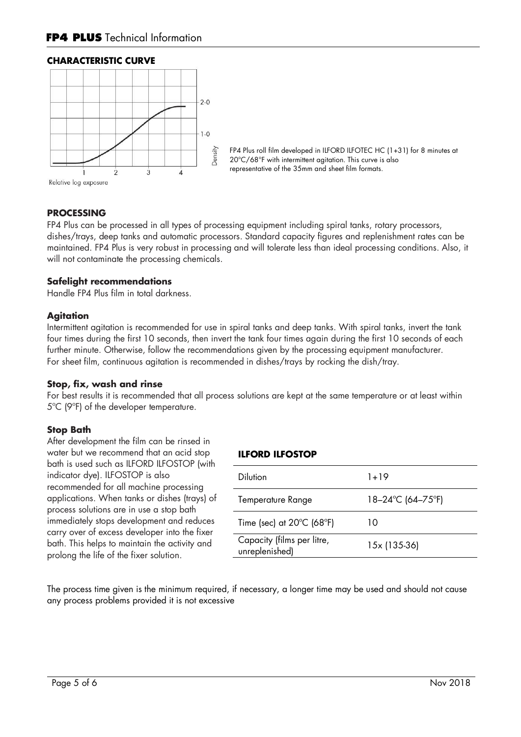#### **CHARACTERISTIC CURVE**



FP4 Plus roll film developed in ILFORD ILFOTEC HC (1+31) for 8 minutes at 20°C/68°F with intermittent agitation. This curve is also representative of the 35mm and sheet film formats.

#### **PROCESSING**

FP4 Plus can be processed in all types of processing equipment including spiral tanks, rotary processors, dishes/trays, deep tanks and automatic processors. Standard capacity figures and replenishment rates can be maintained. FP4 Plus is very robust in processing and will tolerate less than ideal processing conditions. Also, it will not contaminate the processing chemicals.

#### **Safelight recommendations**

Handle FP4 Plus film in total darkness.

#### **Agitation**

Intermittent agitation is recommended for use in spiral tanks and deep tanks. With spiral tanks, invert the tank four times during the first 10 seconds, then invert the tank four times again during the first 10 seconds of each further minute. Otherwise, follow the recommendations given by the processing equipment manufacturer. For sheet film, continuous agitation is recommended in dishes/trays by rocking the dish/tray.

#### **Stop, fix, wash and rinse**

For best results it is recommended that all process solutions are kept at the same temperature or at least within 5ºC (9ºF) of the developer temperature.

#### **Stop Bath**

After development the film can be rinsed in water but we recommend that an acid stop bath is used such as ILFORD ILFOSTOP (with indicator dye). ILFOSTOP is also recommended for all machine processing applications. When tanks or dishes (trays) of process solutions are in use a stop bath immediately stops development and reduces carry over of excess developer into the fixer bath. This helps to maintain the activity and prolong the life of the fixer solution.

#### **ILFORD ILFOSTOP**

| <b>Dilution</b>                                | $1 + 19$          |
|------------------------------------------------|-------------------|
| Temperature Range                              | 18–24°C (64–75°F) |
| Time (sec) at $20^{\circ}$ C (68 $^{\circ}$ F) | 10                |
| Capacity (films per litre,<br>unreplenished)   | 15x (135-36)      |
|                                                |                   |

The process time given is the minimum required, if necessary, a longer time may be used and should not cause any process problems provided it is not excessive